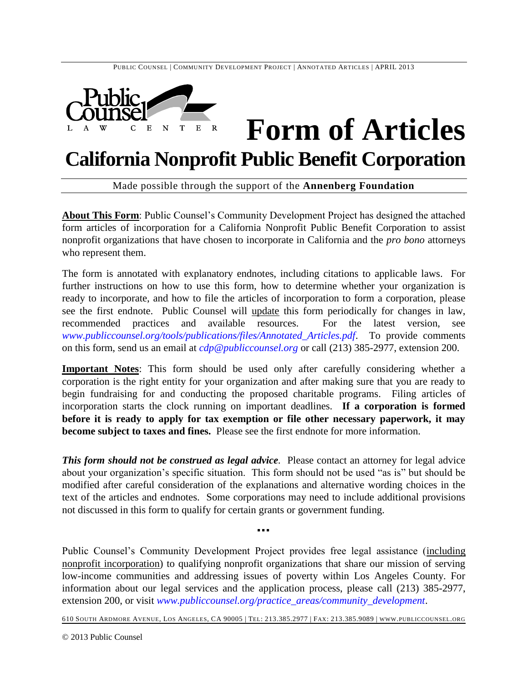

# **Form of Articles**

## **California Nonprofit Public Benefit Corporation**

Made possible through the support of the **Annenberg Foundation**

**About This Form**: Public Counsel's Community Development Project has designed the attached form articles of incorporation for a California Nonprofit Public Benefit Corporation to assist nonprofit organizations that have chosen to incorporate in California and the *pro bono* attorneys who represent them.

The form is annotated with explanatory endnotes, including citations to applicable laws. For further instructions on how to use this form, how to determine whether your organization is ready to incorporate, and how to file the articles of incorporation to form a corporation, please see the first endnote. Public Counsel will update this form periodically for changes in law, recommended practices and available resources. For the latest version, see *[www.publiccounsel.org/tools/publications/files/Annotated\\_Articles.pdf](http://www.publiccounsel.org/tools/publications/files/Annotated_Articles.pdf)*. To provide comments on this form, send us an email at *[cdp@publiccounsel.org](mailto:cdp@publiccounsel.org)* or call (213) 385-2977, extension 200.

**Important Notes**: This form should be used only after carefully considering whether a corporation is the right entity for your organization and after making sure that you are ready to begin fundraising for and conducting the proposed charitable programs. Filing articles of incorporation starts the clock running on important deadlines. **If a corporation is formed before it is ready to apply for tax exemption or file other necessary paperwork, it may become subject to taxes and fines.** Please see the first endnote for more information.

*This form should not be construed as legal advice.* Please contact an attorney for legal advice about your organization's specific situation. This form should not be used "as is" but should be modified after careful consideration of the explanations and alternative wording choices in the text of the articles and endnotes. Some corporations may need to include additional provisions not discussed in this form to qualify for certain grants or government funding.

Public Counsel's Community Development Project provides free legal assistance (including nonprofit incorporation) to qualifying nonprofit organizations that share our mission of serving low-income communities and addressing issues of poverty within Los Angeles County. For information about our legal services and the application process, please call (213) 385-2977, extension 200, or visit *[www.publiccounsel.org/practice\\_areas/community\\_development](http://www.publiccounsel.org/practice_areas/community_development)*.

▪▪▪

610 SOUTH ARDMORE AVENUE, LOS ANGELES, CA 90005 | TEL: 213.385.2977 | FAX: 213.385.9089 | WWW.PUBLICCOUNSEL.ORG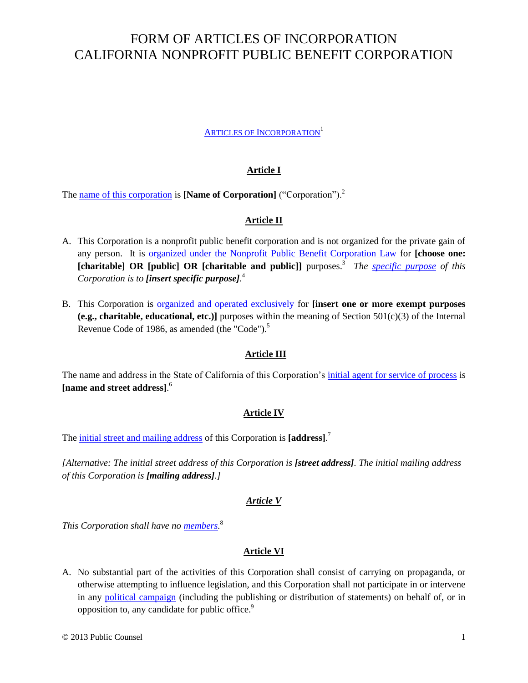## FORM OF ARTICLES OF INCORPORATION CALIFORNIA NONPROFIT PUBLIC BENEFIT CORPORATION

#### **ARTICLES OF I[NCORPORATION](#page-3-0)**<sup>1</sup>

#### **Article I**

<span id="page-1-1"></span><span id="page-1-0"></span>The [name of this corporation](#page-3-1) is **[Name of Corporation]** ("Corporation").<sup>2</sup>

#### <span id="page-1-5"></span><span id="page-1-3"></span>**Article II**

- <span id="page-1-4"></span><span id="page-1-2"></span>A. This Corporation is a nonprofit public benefit corporation and is not organized for the private gain of any person. It is [organized under the Nonprofit Public Benefit Corporation Law](#page-4-0) for **[choose one: [charitable] OR [public] OR [charitable and public]]** purposes. 3 *The [specific purpose](#page-4-1) of this Corporation is to [insert specific purpose].* 4
- <span id="page-1-6"></span>B. This Corporation is [organized and operated exclusively](#page-5-0) for **[insert one or more exempt purposes (e.g., charitable, educational, etc.)**] purposes within the meaning of Section  $501(c)(3)$  of the Internal Revenue Code of 1986, as amended (the "Code").<sup>5</sup>

#### <span id="page-1-11"></span><span id="page-1-7"></span>**Article III**

The name and address in the State of California of this Corporation's [initial agent for service of process](#page-6-0) is **[name and street address]**. 6

#### <span id="page-1-8"></span>**Article IV**

The [initial street and mailing address](#page-6-1) of this Corporation is **[address]**. 7

*[Alternative: The initial street address of this Corporation is [street address]. The initial mailing address of this Corporation is [mailing address].]*

#### <span id="page-1-9"></span>*Article V*

*This Corporation shall have no [members.](#page-6-2)* 8

#### **Article VI**

<span id="page-1-10"></span>A. No substantial part of the activities of this Corporation shall consist of carrying on propaganda, or otherwise attempting to influence legislation, and this Corporation shall not participate in or intervene in any [political campaign](#page-7-0) (including the publishing or distribution of statements) on behalf of, or in opposition to, any candidate for public office.<sup>9</sup>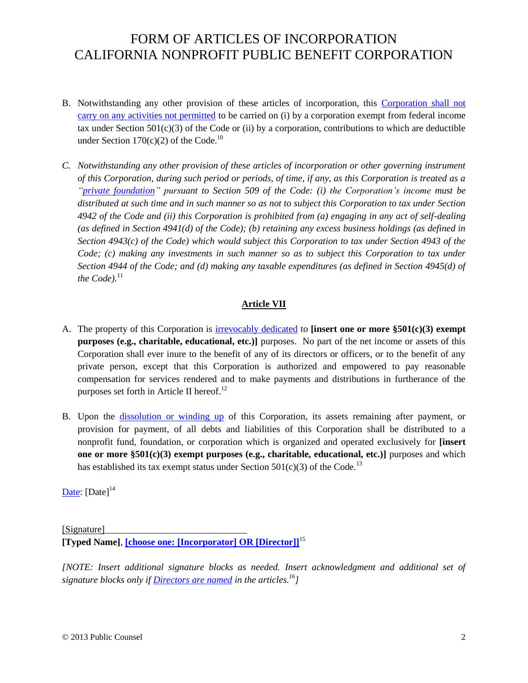## FORM OF ARTICLES OF INCORPORATION CALIFORNIA NONPROFIT PUBLIC BENEFIT CORPORATION

- <span id="page-2-0"></span>B. Notwithstanding any other provision of these articles of incorporation, this [Corporation shall not](#page-7-1)  carry on [any activities not permitted](#page-7-1) to be carried on (i) by a corporation exempt from federal income tax under Section  $501(c)(3)$  of the Code or (ii) by a corporation, contributions to which are deductible under Section  $170(c)(2)$  of the Code.<sup>10</sup>
- <span id="page-2-1"></span>*C. Notwithstanding any other provision of these articles of incorporation or other governing instrument of this Corporation, during such period or periods, of time, if any, as this Corporation is treated as a ["private foundation"](#page-7-2) pursuant to Section 509 of the Code: (i) the Corporation's income must be distributed at such time and in such manner so as not to subject this Corporation to tax under Section 4942 of the Code and (ii) this Corporation is prohibited from (a) engaging in any act of self-dealing (as defined in Section 4941(d) of the Code); (b) retaining any excess business holdings (as defined in Section 4943(c) of the Code) which would subject this Corporation to tax under Section 4943 of the Code; (c) making any investments in such manner so as to subject this Corporation to tax under Section 4944 of the Code; and (d) making any taxable expenditures (as defined in Section 4945(d) of the Code*).<sup>11</sup>

#### <span id="page-2-2"></span>**Article VII**

- A. The property of this Corporation is [irrevocably dedicated](#page-7-3) to **[insert one or more §501(c)(3) exempt purposes (e.g., charitable, educational, etc.)]** purposes. No part of the net income or assets of this Corporation shall ever inure to the benefit of any of its directors or officers, or to the benefit of any private person, except that this Corporation is authorized and empowered to pay reasonable compensation for services rendered and to make payments and distributions in furtherance of the purposes set forth in Article II hereof.<sup>12</sup>
- <span id="page-2-3"></span>B. Upon the [dissolution or winding up](#page-8-0) of this Corporation, its assets remaining after payment, or provision for payment, of all debts and liabilities of this Corporation shall be distributed to a nonprofit fund, foundation, or corporation which is organized and operated exclusively for **[insert one or more §501(c)(3) exempt purposes (e.g., charitable, educational, etc.)]** purposes and which has established its tax exempt status under Section  $501(c)(3)$  of the Code.<sup>13</sup>

<span id="page-2-4"></span>[Date:](#page-9-0)  $[Date]^{14}$ 

<span id="page-2-8"></span><span id="page-2-5"></span>[Signature] **[Typed Name]**, **[\[choose one: \[Incorporator\] OR \[Director\]\]](#page-9-1)**<sup>15</sup>

<span id="page-2-7"></span><span id="page-2-6"></span>*[NOTE: Insert additional signature blocks as needed. Insert acknowledgment and additional set of signature blocks only i[f Directors are named](#page-10-0) in the articles.<sup>16</sup>]*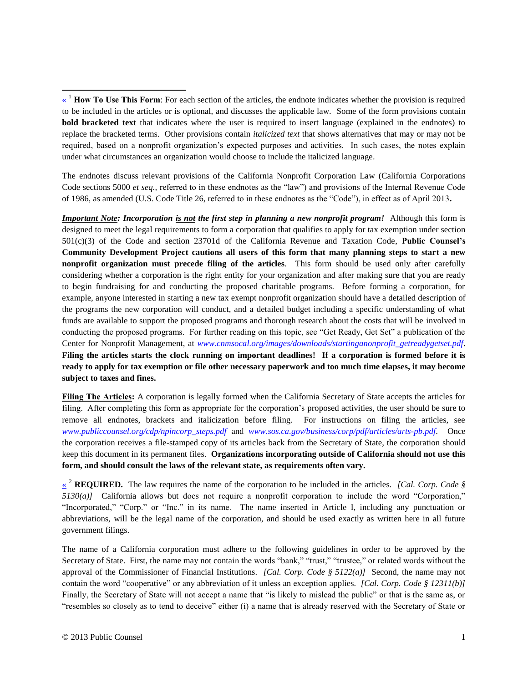The endnotes discuss relevant provisions of the California Nonprofit Corporation Law (California Corporations Code sections 5000 *et seq.,* referred to in these endnotes as the "law") and provisions of the Internal Revenue Code of 1986, as amended (U.S. Code Title 26, referred to in these endnotes as the "Code"), in effect as of April 2013**.**

*Important Note: Incorporation is not the first step in planning a new nonprofit program!* Although this form is designed to meet the legal requirements to form a corporation that qualifies to apply for tax exemption under section 501(c)(3) of the Code and section 23701d of the California Revenue and Taxation Code, **Public Counsel's Community Development Project cautions all users of this form that many planning steps to start a new nonprofit organization must precede filing of the articles**. This form should be used only after carefully considering whether a corporation is the right entity for your organization and after making sure that you are ready to begin fundraising for and conducting the proposed charitable programs. Before forming a corporation, for example, anyone interested in starting a new tax exempt nonprofit organization should have a detailed description of the programs the new corporation will conduct, and a detailed budget including a specific understanding of what funds are available to support the proposed programs and thorough research about the costs that will be involved in conducting the proposed programs. For further reading on this topic, see "Get Ready, Get Set" a publication of the Center for Nonprofit Management, at *[www.cnmsocal.org/images/downloads/startinganonprofit\\_getreadygetset.pdf](http://www.cnmsocal.org/images/downloads/startinganonprofit_getreadygetset.pdf)*. **Filing the articles starts the clock running on important deadlines! If a corporation is formed before it is ready to apply for tax exemption or file other necessary paperwork and too much time elapses, it may become subject to taxes and fines.**

**Filing The Articles:** A corporation is legally formed when the California Secretary of State accepts the articles for filing. After completing this form as appropriate for the corporation's proposed activities, the user should be sure to remove all endnotes, brackets and italicization before filing. For instructions on filing the articles, see *[www.publiccounsel.org/cdp/npincorp\\_steps.pdf](http://www.publiccounsel.org/cdp/npincorp_steps.pdf)* and *[www.sos.ca.gov/business/corp/pdf/articles/arts-pb.pdf](http://www.sos.ca.gov/business/corp/pdf/articles/arts-pb.pdf)*. Once the corporation receives a file-stamped copy of its articles back from the Secretary of State, the corporation should keep this document in its permanent files. **Organizations incorporating outside of California should not use this form, and should consult the laws of the relevant state, as requirements often vary.**

<span id="page-3-1"></span>[«](#page-1-1) <sup>2</sup> **REQUIRED.** The law requires the name of the corporation to be included in the articles. *[Cal. Corp. Code § 5130(a)]* California allows but does not require a nonprofit corporation to include the word "Corporation," "Incorporated," "Corp." or "Inc." in its name. The name inserted in Article I, including any punctuation or abbreviations, will be the legal name of the corporation, and should be used exactly as written here in all future government filings.

The name of a California corporation must adhere to the following guidelines in order to be approved by the Secretary of State. First, the name may not contain the words "bank," "trust," "trustee," or related words without the approval of the Commissioner of Financial Institutions. *[Cal. Corp. Code § 5122(a)]* Second, the name may not contain the word "cooperative" or any abbreviation of it unless an exception applies. *[Cal. Corp. Code § 12311(b)]* Finally, the Secretary of State will not accept a name that "is likely to mislead the public" or that is the same as, or "resembles so closely as to tend to deceive" either (i) a name that is already reserved with the Secretary of State or

<span id="page-3-0"></span> $\overline{\phantom{a}}$ 

<sup>&</sup>lt;sup>1</sup> How To Use This Form: For each section of the articles, the endnote indicates whether the provision is required to be included in the articles or is optional, and discusses the applicable law. Some of the form provisions contain **bold bracketed text** that indicates where the user is required to insert language (explained in the endnotes) to replace the bracketed terms. Other provisions contain *italicized text* that shows alternatives that may or may not be required, based on a nonprofit organization's expected purposes and activities. In such cases, the notes explain under what circumstances an organization would choose to include the italicized language.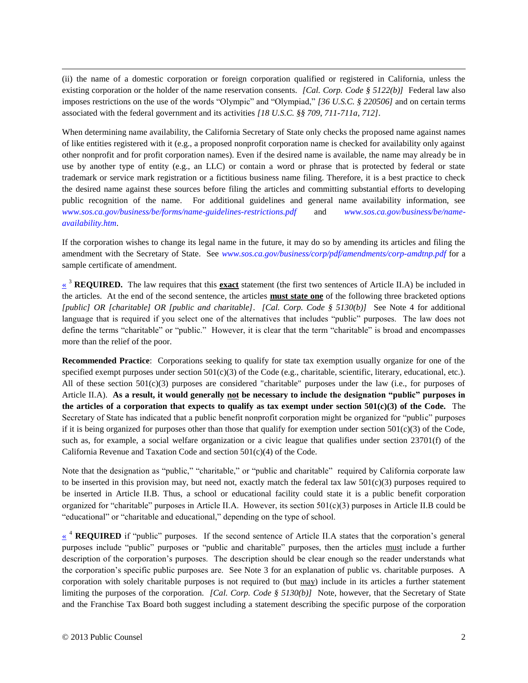(ii) the name of a domestic corporation or foreign corporation qualified or registered in California, unless the existing corporation or the holder of the name reservation consents. *[Cal. Corp. Code § 5122(b)]* Federal law also imposes restrictions on the use of the words "Olympic" and "Olympiad," *[36 U.S.C. § 220506]* and on certain terms associated with the federal government and its activities *[18 U.S.C. §§ 709, 711-711a, 712]*.

When determining name availability, the California Secretary of State only checks the proposed name against names of like entities registered with it (e.g., a proposed nonprofit corporation name is checked for availability only against other nonprofit and for profit corporation names). Even if the desired name is available, the name may already be in use by another type of entity (e.g., an LLC) or contain a word or phrase that is protected by federal or state trademark or service mark registration or a fictitious business name filing. Therefore, it is a best practice to check the desired name against these sources before filing the articles and committing substantial efforts to developing public recognition of the name. For additional guidelines and general name availability information, see *[www.sos.ca.gov/business/be/forms/name-guidelines-restrictions.pdf](http://www.sos.ca.gov/business/be/forms/name-guidelines-restrictions.pdf)* and *[www.sos.ca.gov/business/be/name](http://www.sos.ca.gov/business/be/name-availability.htm)[availability.htm](http://www.sos.ca.gov/business/be/name-availability.htm)*.

If the corporation wishes to change its legal name in the future, it may do so by amending its articles and filing the amendment with the Secretary of State. See *[www.sos.ca.gov/business/corp/pdf/amendments/corp-amdtnp.pdf](http://www.sos.ca.gov/business/corp/pdf/amendments/corp-amdtnp.pdf)* for a sample certificate of amendment.

<span id="page-4-0"></span><sup>3</sup> **REQUIRED.** The law requires that this **exact** statement (the first two sentences of Article II.A) be included in the articles. At the end of the second sentence, the articles **must state one** of the following three bracketed options *[public] OR [charitable] OR [public and charitable]*. *[Cal. Corp. Code § 5130(b)]* See Note [4](#page-1-3) for additional language that is required if you select one of the alternatives that includes "public" purposes. The law does not define the terms "charitable" or "public." However, it is clear that the term "charitable" is broad and encompasses more than the relief of the poor.

**Recommended Practice**: Corporations seeking to qualify for state tax exemption usually organize for one of the specified exempt purposes under section  $501(c)(3)$  of the Code (e.g., charitable, scientific, literary, educational, etc.). All of these section 501(c)(3) purposes are considered "charitable" purposes under the law (i.e., for purposes of Article II.A). **As a result, it would generally not be necessary to include the designation "public" purposes in the articles of a corporation that expects to qualify as tax exempt under section 501(c)(3) of the Code.** The Secretary of State has indicated that a public benefit nonprofit corporation might be organized for "public" purposes if it is being organized for purposes other than those that qualify for exemption under section  $501(c)(3)$  of the Code, such as, for example, a social welfare organization or a civic league that qualifies under section 23701(f) of the California Revenue and Taxation Code and section 501(c)(4) of the Code.

Note that the designation as "public," "charitable," or "public and charitable" required by California corporate law to be inserted in this provision may, but need not, exactly match the federal tax law 501(c)(3) purposes required to be inserted in Article II.B. Thus, a school or educational facility could state it is a public benefit corporation organized for "charitable" purposes in Article II.A. However, its section 501(c)(3) purposes in Article II.B could be "educational" or "charitable and educational," depending on the type of school.

<span id="page-4-1"></span> $\leq$ <sup>4</sup> **REQUIRED** if "public" purposes. If the second sentence of Article II.A states that the corporation's general purposes include "public" purposes or "public and charitable" purposes, then the articles must include a further description of the corporation's purposes. The description should be clear enough so the reader understands what the corporation's specific public purposes are. See Note [3](#page-1-5) for an explanation of public vs. charitable purposes. A corporation with solely charitable purposes is not required to (but may) include in its articles a further statement limiting the purposes of the corporation. *[Cal. Corp. Code § 5130(b)]* Note, however, that the Secretary of State and the Franchise Tax Board both suggest including a statement describing the specific purpose of the corporation

 $\overline{\phantom{a}}$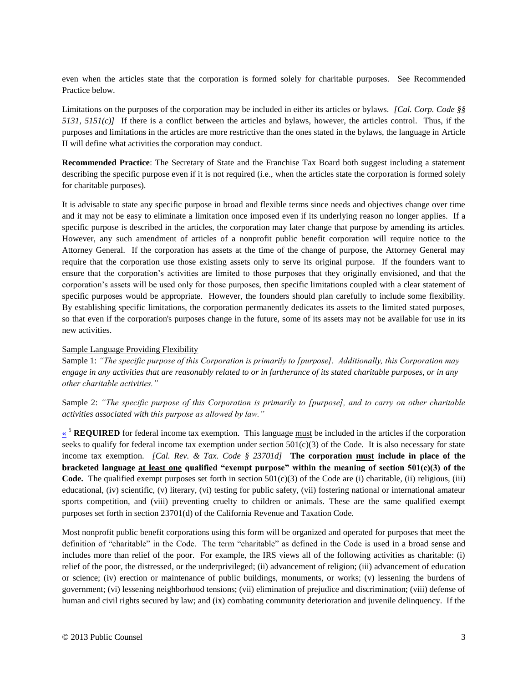$\overline{\phantom{a}}$ even when the articles state that the corporation is formed solely for charitable purposes. See Recommended Practice below.

Limitations on the purposes of the corporation may be included in either its articles or bylaws. *[Cal. Corp. Code §§ 5131, 5151(c)]* If there is a conflict between the articles and bylaws, however, the articles control. Thus, if the purposes and limitations in the articles are more restrictive than the ones stated in the bylaws, the language in Article II will define what activities the corporation may conduct.

**Recommended Practice**: The Secretary of State and the Franchise Tax Board both suggest including a statement describing the specific purpose even if it is not required (i.e., when the articles state the corporation is formed solely for charitable purposes).

It is advisable to state any specific purpose in broad and flexible terms since needs and objectives change over time and it may not be easy to eliminate a limitation once imposed even if its underlying reason no longer applies. If a specific purpose is described in the articles, the corporation may later change that purpose by amending its articles. However, any such amendment of articles of a nonprofit public benefit corporation will require notice to the Attorney General. If the corporation has assets at the time of the change of purpose, the Attorney General may require that the corporation use those existing assets only to serve its original purpose. If the founders want to ensure that the corporation's activities are limited to those purposes that they originally envisioned, and that the corporation's assets will be used only for those purposes, then specific limitations coupled with a clear statement of specific purposes would be appropriate. However, the founders should plan carefully to include some flexibility. By establishing specific limitations, the corporation permanently dedicates its assets to the limited stated purposes, so that even if the corporation's purposes change in the future, some of its assets may not be available for use in its new activities.

#### Sample Language Providing Flexibility

Sample 1: *"The specific purpose of this Corporation is primarily to [purpose]. Additionally, this Corporation may engage in any activities that are reasonably related to or in furtherance of its stated charitable purposes, or in any other charitable activities."*

<span id="page-5-0"></span>Sample 2: *"The specific purpose of this Corporation is primarily to [purpose], and to carry on other charitable activities associated with this purpose as allowed by law."*

<sup>5</sup> **REQUIRED** for federal income tax exemption. This language must be included in the articles if the corporation seeks to qualify for federal income tax exemption under section  $501(c)(3)$  of the Code. It is also necessary for state income tax exemption. *[Cal. Rev. & Tax. Code § 23701d]* **The corporation must include in place of the bracketed language at least one qualified "exempt purpose" within the meaning of section 501(c)(3) of the Code.** The qualified exempt purposes set forth in section  $501(c)(3)$  of the Code are (i) charitable, (ii) religious, (iii) educational, (iv) scientific, (v) literary, (vi) testing for public safety, (vii) fostering national or international amateur sports competition, and (viii) preventing cruelty to children or animals. These are the same qualified exempt purposes set forth in section 23701(d) of the California Revenue and Taxation Code.

Most nonprofit public benefit corporations using this form will be organized and operated for purposes that meet the definition of "charitable" in the Code. The term "charitable" as defined in the Code is used in a broad sense and includes more than relief of the poor. For example, the IRS views all of the following activities as charitable: (i) relief of the poor, the distressed, or the underprivileged; (ii) advancement of religion; (iii) advancement of education or science; (iv) erection or maintenance of public buildings, monuments, or works; (v) lessening the burdens of government; (vi) lessening neighborhood tensions; (vii) elimination of prejudice and discrimination; (viii) defense of human and civil rights secured by law; and (ix) combating community deterioration and juvenile delinquency. If the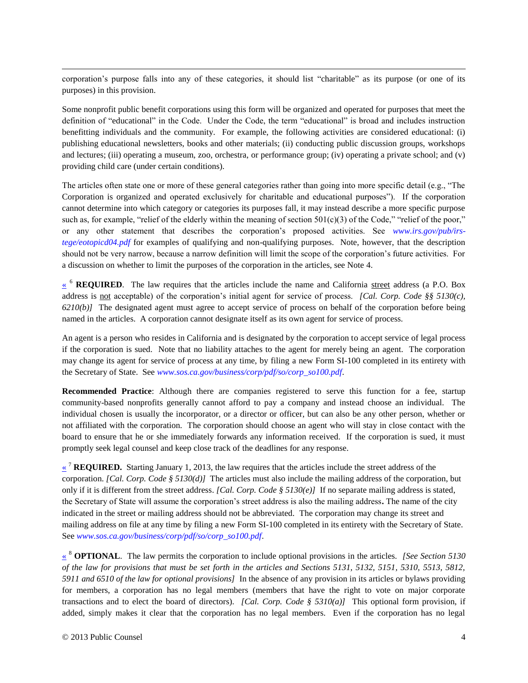$\overline{\phantom{a}}$ corporation's purpose falls into any of these categories, it should list "charitable" as its purpose (or one of its purposes) in this provision.

Some nonprofit public benefit corporations using this form will be organized and operated for purposes that meet the definition of "educational" in the Code. Under the Code, the term "educational" is broad and includes instruction benefitting individuals and the community. For example, the following activities are considered educational: (i) publishing educational newsletters, books and other materials; (ii) conducting public discussion groups, workshops and lectures; (iii) operating a museum, zoo, orchestra, or performance group; (iv) operating a private school; and (v) providing child care (under certain conditions).

The articles often state one or more of these general categories rather than going into more specific detail (e.g., "The Corporation is organized and operated exclusively for charitable and educational purposes"). If the corporation cannot determine into which category or categories its purposes fall, it may instead describe a more specific purpose such as, for example, "relief of the elderly within the meaning of section  $501(c)(3)$  of the Code," "relief of the poor," or any other statement that describes the corporation's proposed activities. See *[www.irs.gov/pub/irs](http://www.irs.gov/pub/irs-tege/eotopicd04.pdf)[tege/eotopicd04.pdf](http://www.irs.gov/pub/irs-tege/eotopicd04.pdf)* for examples of qualifying and non-qualifying purposes. Note, however, that the description should not be very narrow, because a narrow definition will limit the scope of the corporation's future activities. For a discussion on whether to limit the purposes of the corporation in the articles, see Note [4.](#page-1-3)

<span id="page-6-0"></span><sup>6</sup> **REQUIRED**. The law requires that the articles include the name and California street address (a P.O. Box address is not acceptable) of the corporation's initial agent for service of process. *[Cal. Corp. Code §§ 5130(c), 6210(b)]* The designated agent must agree to accept service of process on behalf of the corporation before being named in the articles. A corporation cannot designate itself as its own agent for service of process.

An agent is a person who resides in California and is designated by the corporation to accept service of legal process if the corporation is sued. Note that no liability attaches to the agent for merely being an agent. The corporation may change its agent for service of process at any time, by filing a new Form SI-100 completed in its entirety with the Secretary of State. See *[www.sos.ca.gov/business/corp/pdf/so/corp\\_so100.pdf](http://www.sos.ca.gov/business/corp/pdf/so/corp_so100.pdf)*.

**Recommended Practice**: Although there are companies registered to serve this function for a fee, startup community-based nonprofits generally cannot afford to pay a company and instead choose an individual. The individual chosen is usually the incorporator, or a director or officer, but can also be any other person, whether or not affiliated with the corporation. The corporation should choose an agent who will stay in close contact with the board to ensure that he or she immediately forwards any information received. If the corporation is sued, it must promptly seek legal counsel and keep close track of the deadlines for any response.

<span id="page-6-1"></span> $\mathbf{K}^7$  **REQUIRED.** Starting January 1, 2013, the law requires that the articles include the street address of the corporation. *[Cal. Corp. Code § 5130(d)]* The articles must also include the mailing address of the corporation, but only if it is different from the street address. *[Cal. Corp. Code § 5130(e)]* If no separate mailing address is stated, the Secretary of State will assume the corporation's street address is also the mailing address**.** The name of the city indicated in the street or mailing address should not be abbreviated. The corporation may change its street and mailing address on file at any time by filing a new Form SI-100 completed in its entirety with the Secretary of State. See *[www.sos.ca.gov/business/corp/pdf/so/corp\\_so100.pdf](file:///C:/Users/sstegemoeller/AppData/Local/Microsoft/Windows/Temporary%20Internet%20Files/Content.Outlook/P2LKD4L9/www.sos.ca.gov/business/corp/pdf/so/corp_so100.pdf)*.

<span id="page-6-2"></span>[«](#page-1-9) <sup>8</sup> **OPTIONAL**. The law permits the corporation to include optional provisions in the articles. *[See Section 5130 of the law for provisions that must be set forth in the articles and Sections 5131, 5132, 5151, 5310, 5513, 5812, 5911 and 6510 of the law for optional provisions]* In the absence of any provision in its articles or bylaws providing for members, a corporation has no legal members (members that have the right to vote on major corporate transactions and to elect the board of directors). *[Cal. Corp. Code § 5310(a)]* This optional form provision, if added, simply makes it clear that the corporation has no legal members. Even if the corporation has no legal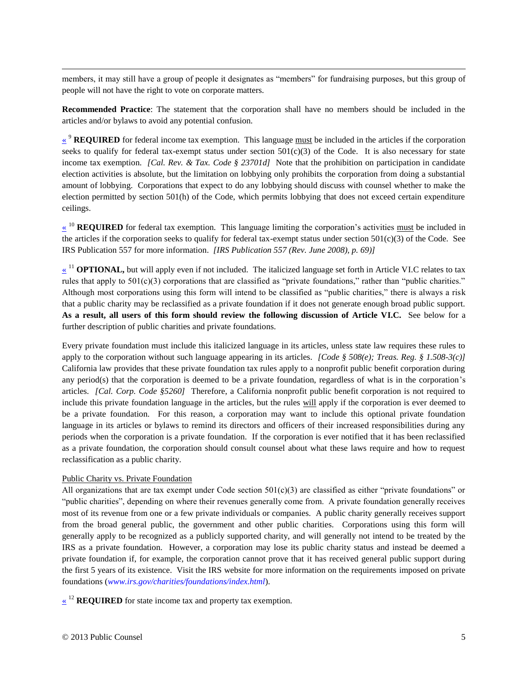$\overline{\phantom{a}}$ members, it may still have a group of people it designates as "members" for fundraising purposes, but this group of people will not have the right to vote on corporate matters.

<span id="page-7-0"></span>**Recommended Practice**: The statement that the corporation shall have no members should be included in the articles and/or bylaws to avoid any potential confusion.

<sup>9</sup> **REQUIRED** for federal income tax exemption. This language must be included in the articles if the corporation seeks to qualify for federal tax-exempt status under section  $501(c)(3)$  of the Code. It is also necessary for state income tax exemption. *[Cal. Rev. & Tax. Code § 23701d]* Note that the prohibition on participation in candidate election activities is absolute, but the limitation on lobbying only prohibits the corporation from doing a substantial amount of lobbying. Corporations that expect to do any lobbying should discuss with counsel whether to make the election permitted by section 501(h) of the Code, which permits lobbying that does not exceed certain expenditure ceilings.

<span id="page-7-1"></span><sup>10</sup> **REQUIRED** for federal tax exemption. This language limiting the corporation's activities must be included in the articles if the corporation seeks to qualify for federal tax-exempt status under section  $501(c)(3)$  of the Code. See IRS Publication 557 for more information. *[IRS Publication 557 (Rev. June 2008), p. 69)]*

<span id="page-7-2"></span>[«](#page-2-1)<sup>11</sup> **OPTIONAL**, but will apply even if not included. The italicized language set forth in Article VI.C relates to tax rules that apply to  $501(c)(3)$  corporations that are classified as "private foundations," rather than "public charities." Although most corporations using this form will intend to be classified as "public charities," there is always a risk that a public charity may be reclassified as a private foundation if it does not generate enough broad public support. **As a result, all users of this form should review the following discussion of Article VI.C.** See below for a further description of public charities and private foundations.

Every private foundation must include this italicized language in its articles, unless state law requires these rules to apply to the corporation without such language appearing in its articles. *[Code § 508(e); Treas. Reg. § 1.508-3(c)]* California law provides that these private foundation tax rules apply to a nonprofit public benefit corporation during any period(s) that the corporation is deemed to be a private foundation, regardless of what is in the corporation's articles. *[Cal. Corp. Code §5260]* Therefore, a California nonprofit public benefit corporation is not required to include this private foundation language in the articles, but the rules will apply if the corporation is ever deemed to be a private foundation. For this reason, a corporation may want to include this optional private foundation language in its articles or bylaws to remind its directors and officers of their increased responsibilities during any periods when the corporation is a private foundation. If the corporation is ever notified that it has been reclassified as a private foundation, the corporation should consult counsel about what these laws require and how to request reclassification as a public charity.

#### Public Charity vs. Private Foundation

All organizations that are tax exempt under Code section  $501(c)(3)$  are classified as either "private foundations" or "public charities", depending on where their revenues generally come from. A private foundation generally receives most of its revenue from one or a few private individuals or companies. A public charity generally receives support from the broad general public, the government and other public charities. Corporations using this form will generally apply to be recognized as a publicly supported charity, and will generally not intend to be treated by the IRS as a private foundation. However, a corporation may lose its public charity status and instead be deemed a private foundation if, for example, the corporation cannot prove that it has received general public support during the first 5 years of its existence. Visit the IRS website for more information on the requirements imposed on private foundations (*[www.irs.gov/charities/foundations/index.html](http://www.irs.gov/charities/foundations/index.html)*).

<span id="page-7-3"></span> $\frac{1}{2}$  **REQUIRED** for state income tax and property tax exemption.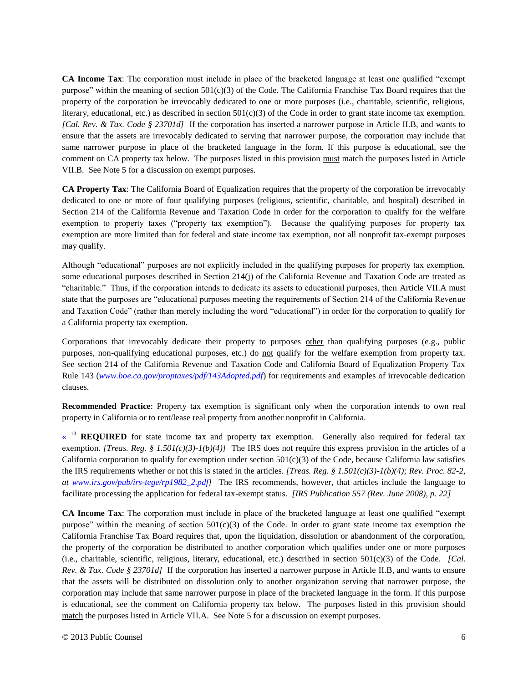**CA Income Tax**: The corporation must include in place of the bracketed language at least one qualified "exempt purpose" within the meaning of section  $501(c)(3)$  of the Code. The California Franchise Tax Board requires that the property of the corporation be irrevocably dedicated to one or more purposes (i.e., charitable, scientific, religious, literary, educational, etc.) as described in section  $501(c)(3)$  of the Code in order to grant state income tax exemption. *[Cal. Rev. & Tax. Code § 23701d]* If the corporation has inserted a narrower purpose in Article II.B, and wants to ensure that the assets are irrevocably dedicated to serving that narrower purpose, the corporation may include that same narrower purpose in place of the bracketed language in the form. If this purpose is educational, see the comment on CA property tax below. The purposes listed in this provision must match the purposes listed in Article VII.B. See Not[e 5](#page-1-11) for a discussion on exempt purposes.

**CA Property Tax**: The California Board of Equalization requires that the property of the corporation be irrevocably dedicated to one or more of four qualifying purposes (religious, scientific, charitable, and hospital) described in Section 214 of the California Revenue and Taxation Code in order for the corporation to qualify for the welfare exemption to property taxes ("property tax exemption"). Because the qualifying purposes for property tax exemption are more limited than for federal and state income tax exemption, not all nonprofit tax-exempt purposes may qualify.

Although "educational" purposes are not explicitly included in the qualifying purposes for property tax exemption, some educational purposes described in Section 214(j) of the California Revenue and Taxation Code are treated as "charitable." Thus, if the corporation intends to dedicate its assets to educational purposes, then Article VII.A must state that the purposes are "educational purposes meeting the requirements of Section 214 of the California Revenue and Taxation Code" (rather than merely including the word "educational") in order for the corporation to qualify for a California property tax exemption.

Corporations that irrevocably dedicate their property to purposes other than qualifying purposes (e.g., public purposes, non-qualifying educational purposes, etc.) do not qualify for the welfare exemption from property tax. See section 214 of the California Revenue and Taxation Code and California Board of Equalization Property Tax Rule 143 (*[www.boe.ca.gov/proptaxes/pdf/143Adopted.pdf](http://www.boe.ca.gov/proptaxes/pdf/143Adopted.pdf)*) for requirements and examples of irrevocable dedication clauses.

<span id="page-8-0"></span>**Recommended Practice**: Property tax exemption is significant only when the corporation intends to own real property in California or to rent/lease real property from another nonprofit in California.

 $\frac{13}{12}$  **REQUIRED** for state income tax and property tax exemption. Generally also required for federal tax exemption. *[Treas. Reg. § 1.501(c)(3)-1(b)(4)]* The IRS does not require this express provision in the articles of a California corporation to qualify for exemption under section  $501(c)(3)$  of the Code, because California law satisfies the IRS requirements whether or not this is stated in the articles. *[Treas. Reg. § 1.501(c)(3)-1(b)(4); Rev. Proc. 82-2, at [www.irs.gov/pub/irs-tege/rp1982\\_2.pdf\]](http://www.irs.gov/pub/irs-tege/rp1982_2.pdf)* The IRS recommends, however, that articles include the language to facilitate processing the application for federal tax-exempt status. *[IRS Publication 557 (Rev. June 2008), p. 22]*

**CA Income Tax**: The corporation must include in place of the bracketed language at least one qualified "exempt purpose" within the meaning of section  $501(c)(3)$  of the Code. In order to grant state income tax exemption the California Franchise Tax Board requires that, upon the liquidation, dissolution or abandonment of the corporation, the property of the corporation be distributed to another corporation which qualifies under one or more purposes (i.e., charitable, scientific, religious, literary, educational, etc.) described in section 501(c)(3) of the Code. *[Cal. Rev. & Tax. Code § 23701d]* If the corporation has inserted a narrower purpose in Article II.B, and wants to ensure that the assets will be distributed on dissolution only to another organization serving that narrower purpose, the corporation may include that same narrower purpose in place of the bracketed language in the form. If this purpose is educational, see the comment on California property tax below. The purposes listed in this provision should match the purposes listed in Article VII.A. See Note [5](#page-1-11) for a discussion on exempt purposes.

 $\overline{\phantom{a}}$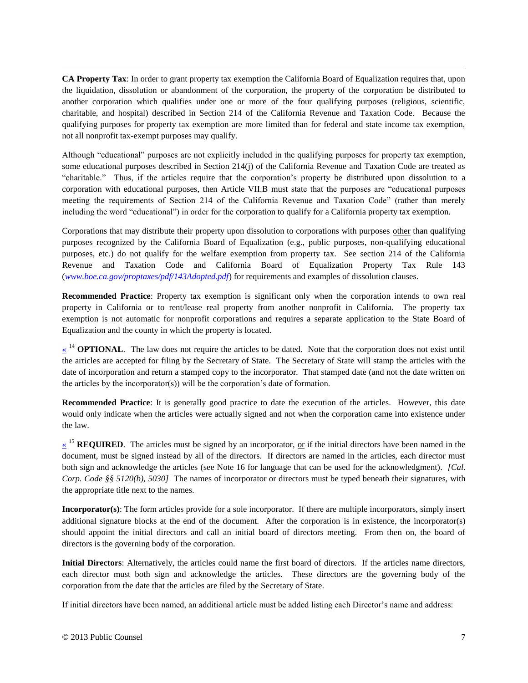$\overline{\phantom{a}}$ **CA Property Tax**: In order to grant property tax exemption the California Board of Equalization requires that, upon the liquidation, dissolution or abandonment of the corporation, the property of the corporation be distributed to another corporation which qualifies under one or more of the four qualifying purposes (religious, scientific, charitable, and hospital) described in Section 214 of the California Revenue and Taxation Code. Because the qualifying purposes for property tax exemption are more limited than for federal and state income tax exemption, not all nonprofit tax-exempt purposes may qualify.

Although "educational" purposes are not explicitly included in the qualifying purposes for property tax exemption, some educational purposes described in Section 214(j) of the California Revenue and Taxation Code are treated as "charitable." Thus, if the articles require that the corporation's property be distributed upon dissolution to a corporation with educational purposes, then Article VII.B must state that the purposes are "educational purposes meeting the requirements of Section 214 of the California Revenue and Taxation Code" (rather than merely including the word "educational") in order for the corporation to qualify for a California property tax exemption.

Corporations that may distribute their property upon dissolution to corporations with purposes other than qualifying purposes recognized by the California Board of Equalization (e.g., public purposes, non-qualifying educational purposes, etc.) do not qualify for the welfare exemption from property tax. See section 214 of the California Revenue and Taxation Code and California Board of Equalization Property Tax Rule 143 (*[www.boe.ca.gov/proptaxes/pdf/143Adopted.pdf](http://www.boe.ca.gov/proptaxes/pdf/143Adopted.pdf)*) for requirements and examples of dissolution clauses.

**Recommended Practice**: Property tax exemption is significant only when the corporation intends to own real property in California or to rent/lease real property from another nonprofit in California. The property tax exemption is not automatic for nonprofit corporations and requires a separate application to the State Board of Equalization and the county in which the property is located.

<span id="page-9-0"></span> $\frac{14}{14}$  **OPTIONAL**. The law does not require the articles to be dated. Note that the corporation does not exist until the articles are accepted for filing by the Secretary of State. The Secretary of State will stamp the articles with the date of incorporation and return a stamped copy to the incorporator. That stamped date (and not the date written on the articles by the incorporator(s)) will be the corporation's date of formation.

**Recommended Practice**: It is generally good practice to date the execution of the articles. However, this date would only indicate when the articles were actually signed and not when the corporation came into existence under the law.

<span id="page-9-1"></span> $\frac{15}{15}$  **REQUIRED**. The articles must be signed by an incorporator, <u>or</u> if the initial directors have been named in the document, must be signed instead by all of the directors. If directors are named in the articles, each director must both sign and acknowledge the articles (see Note [16](#page-2-6) for language that can be used for the acknowledgment). *[Cal. Corp. Code §§ 5120(b), 5030]* The names of incorporator or directors must be typed beneath their signatures, with the appropriate title next to the names.

**Incorporator(s)**: The form articles provide for a sole incorporator. If there are multiple incorporators, simply insert additional signature blocks at the end of the document. After the corporation is in existence, the incorporator(s) should appoint the initial directors and call an initial board of directors meeting. From then on, the board of directors is the governing body of the corporation.

**Initial Directors**: Alternatively, the articles could name the first board of directors. If the articles name directors, each director must both sign and acknowledge the articles. These directors are the governing body of the corporation from the date that the articles are filed by the Secretary of State.

If initial directors have been named, an additional article must be added listing each Director's name and address: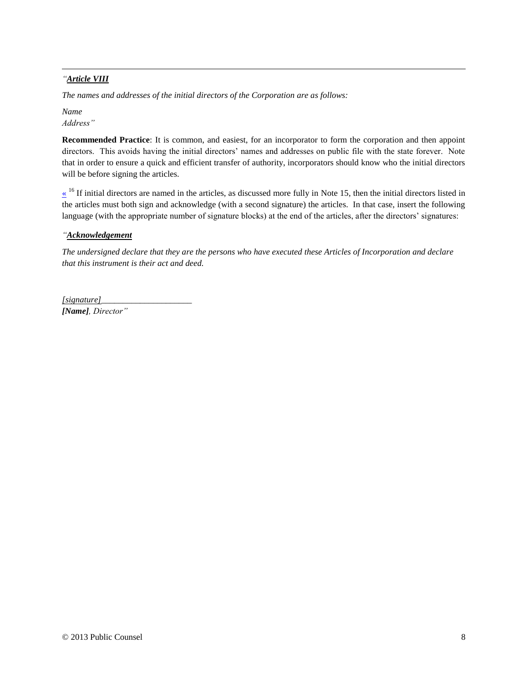#### $\overline{\phantom{a}}$ *"Article VIII*

*The names and addresses of the initial directors of the Corporation are as follows:*

*Name Address"*

**Recommended Practice**: It is common, and easiest, for an incorporator to form the corporation and then appoint directors. This avoids having the initial directors' names and addresses on public file with the state forever. Note that in order to ensure a quick and efficient transfer of authority, incorporators should know who the initial directors will be before signing the articles.

<span id="page-10-0"></span> $\frac{1}{6}$  If initial directors are named in the articles, as discussed more fully in Note [15,](#page-2-8) then the initial directors listed in the articles must both sign and acknowledge (with a second signature) the articles. In that case, insert the following language (with the appropriate number of signature blocks) at the end of the articles, after the directors' signatures:

#### *"Acknowledgement*

*The undersigned declare that they are the persons who have executed these Articles of Incorporation and declare that this instrument is their act and deed.*

*[signature]\_\_\_\_\_\_\_\_\_\_\_\_\_\_\_\_\_\_\_\_\_*

*[Name], Director"*